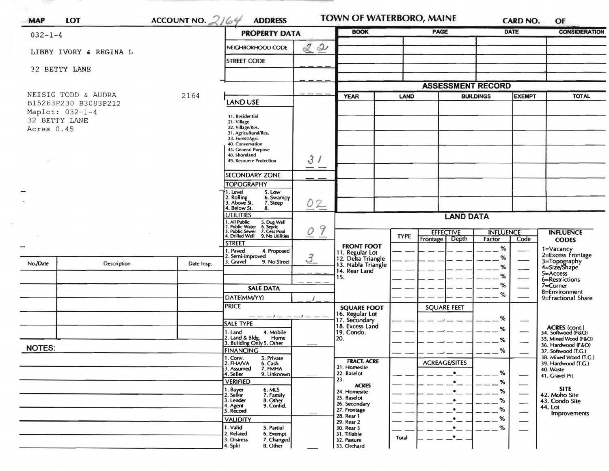|                             |                                             |            | ACCOUNT NO. $2164$<br><b>ADDRESS</b><br><b>PROPERTY DATA</b>                                      |                          | <b>BOOK</b>                           |             | <b>PAGE</b>              |                                   | <b>DATE</b> | <b>OF</b><br><b>CONSIDERATION</b>                           |  |
|-----------------------------|---------------------------------------------|------------|---------------------------------------------------------------------------------------------------|--------------------------|---------------------------------------|-------------|--------------------------|-----------------------------------|-------------|-------------------------------------------------------------|--|
| $032 - 1 - 4$               |                                             |            |                                                                                                   |                          |                                       |             |                          |                                   |             |                                                             |  |
|                             | LIBBY IVORY & REGINA L                      |            | NEIGHBORHOOD CODE                                                                                 | 22                       |                                       |             |                          |                                   |             |                                                             |  |
| 32 BETTY LANE               |                                             |            | <b>STREET CODE</b>                                                                                |                          |                                       |             |                          |                                   |             |                                                             |  |
|                             |                                             |            |                                                                                                   |                          |                                       |             |                          |                                   |             |                                                             |  |
|                             |                                             |            |                                                                                                   |                          |                                       |             | <b>ASSESSMENT RECORD</b> |                                   |             |                                                             |  |
|                             | NEISIG TODD & AUDRA<br>B15263P230 B3083P212 | 2164       | LAND USE                                                                                          |                          | <b>YEAR</b>                           | <b>LAND</b> |                          | <b>BUILDINGS</b><br><b>EXEMPT</b> |             | <b>TOTAL</b>                                                |  |
| Maplot: 032-1-4             |                                             |            | 11. Residential                                                                                   |                          |                                       |             |                          |                                   |             |                                                             |  |
| 32 BETTY LANE<br>Acres 0.45 |                                             |            | 21. Village<br>22. Village/Res.                                                                   |                          |                                       |             |                          |                                   |             |                                                             |  |
|                             |                                             |            | 31. Agricultural/Res.<br>33. Forest/Agri.                                                         |                          |                                       |             |                          |                                   |             |                                                             |  |
|                             |                                             |            | 40. Conservation<br>45. General Purpose                                                           |                          |                                       |             |                          |                                   |             |                                                             |  |
|                             |                                             |            | 48. Shoreland<br>49. Resource Protection                                                          | 31                       |                                       |             |                          |                                   |             |                                                             |  |
|                             |                                             |            | <b>SECONDARY ZONE</b>                                                                             | $\overline{\phantom{a}}$ |                                       |             |                          |                                   |             |                                                             |  |
|                             |                                             |            | <b>TOPOGRAPHY</b>                                                                                 |                          |                                       |             |                          |                                   |             |                                                             |  |
|                             |                                             |            | 1. Level<br>5. Low<br>6. Swampy                                                                   |                          |                                       |             |                          |                                   |             |                                                             |  |
|                             |                                             |            | 2. Rolling<br>3. Above St.<br>7. Steep<br>4. Below St.<br>8.                                      | 02                       |                                       |             |                          |                                   |             |                                                             |  |
|                             |                                             |            | <b>UTILITIES</b>                                                                                  |                          |                                       |             | <b>LAND DATA</b>         |                                   |             |                                                             |  |
|                             |                                             |            | . All Public<br>. Public Water<br>5. Dug Well<br>6. Septic<br><b>Public Sewer</b><br>7. Cess Pool | 9<br>$\circ$             |                                       |             | <b>EFFECTIVE</b>         | <b>INFLUENCE</b>                  |             | <b>INFLUENCE</b>                                            |  |
|                             |                                             |            | Drilled Well 9. No Utilities<br><b>STREET</b>                                                     |                          | <b>FRONT FOOT</b>                     | <b>TYPE</b> | Frontage   Depth         | Factor                            | Code        | <b>CODES</b>                                                |  |
|                             |                                             |            | 1. Paved<br>4. Proposed<br>2. Semi-Improved                                                       | $\mathcal{Z}$            | 11. Regular Lot<br>12. Delta Triangle |             |                          | %<br>%                            |             | 1=Vacancy<br>2=Excess Frontage                              |  |
| No./Date                    | Description                                 | Date Insp. | 3. Gravel<br>9. No Street                                                                         |                          | 13. Nabla Triangle                    |             |                          | %                                 |             | 3=Topography<br>4=Size/Shape                                |  |
|                             |                                             |            |                                                                                                   |                          | 14. Rear Land<br>15.                  |             |                          | %                                 |             | $5 = Access$<br>6=Restrictions                              |  |
|                             |                                             |            | <b>SALE DATA</b>                                                                                  |                          |                                       |             |                          | %                                 |             | 7=Corner<br>8=Environment                                   |  |
|                             |                                             |            | DATE(MM/YY)                                                                                       |                          |                                       |             |                          | %                                 |             | 9=Fractional Share                                          |  |
|                             |                                             |            | <b>PRICE</b><br>$-- - - - - - - - - -$                                                            |                          | <b>SQUARE FOOT</b><br>16. Regular Lot |             | <b>SQUARE FEET</b>       |                                   |             |                                                             |  |
|                             |                                             |            | <b>SALE TYPE</b>                                                                                  |                          | 17. Secondary<br>18. Excess Land      |             |                          | %<br>%                            |             |                                                             |  |
|                             |                                             |            | 1. Land<br>4. Mobile<br>2. Land & Bldg.<br>Home                                                   |                          | 19. Condo.<br>20.                     |             |                          | %                                 |             | ACRES (cont.)<br>34. Softwood (F&O)<br>35. Mixed Wood (F&O) |  |
| <b>NOTES:</b>               | <b>FINANCING</b>                            |            | 3. Building Only 5. Other                                                                         |                          |                                       |             |                          | $\%$                              |             | 36. Hardwood (F&O)<br>37. Softwood (T.G.)                   |  |
|                             |                                             |            | 1. Conv.<br>2. FHAVA<br>5. Private<br>6. Cash                                                     |                          | <b>FRACT. ACRE</b>                    |             | <b>ACREAGE/SITES</b>     |                                   |             | 38. Mixed Wood (T.G.)<br>39. Hardwood (T.G.)                |  |
|                             |                                             |            | 7. FMHA<br>3. Assumed<br>4. Seller<br>9. Unknown                                                  |                          | 21. Homesite<br>22. Baselot           |             | $\bullet$                | %                                 | —           | 40. Waste<br>41. Gravel Pit                                 |  |
|                             |                                             |            | <b>VERIFIED</b>                                                                                   |                          | 23.<br><b>ACRES</b>                   |             | $\bullet$                | %                                 |             |                                                             |  |
|                             |                                             |            | 1. Buyer<br>2. Seller<br>6. MLS<br>7. Family                                                      |                          | 24. Homesite<br>25. Baselot           |             | $\bullet$                | %                                 |             | <b>SITE</b><br>42. Moho Site                                |  |
|                             |                                             |            | 3. Lender<br>8. Other<br>4. Agent<br>9. Confid.<br>5. Record                                      |                          | 26. Secondary<br>27. Frontage         |             | $\bullet$<br>$\bullet$   | %<br>%                            | —           | 43. Condo Site<br>44. Lot                                   |  |
|                             |                                             |            | <b>VALIDITY</b>                                                                                   |                          | 28. Rear 1<br>29. Rear 2              |             | $\bullet$                | %                                 | —           | Improvements                                                |  |
|                             |                                             |            | 1. Valid<br>5. Partial<br>2. Related<br>6. Exempt                                                 |                          | 30. Rear 3<br>31. Tillable            |             | $\bullet$                | %                                 |             |                                                             |  |
|                             |                                             |            | 3. Distress<br>7. Changed                                                                         |                          |                                       | Total       | $\bullet$ .              |                                   |             |                                                             |  |

 $\sim$   $\sim$